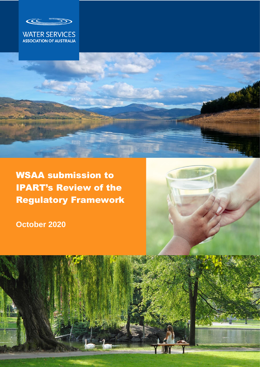





WSAA submission to IPART's Review of the Regulatory Framework

**October 2020** 



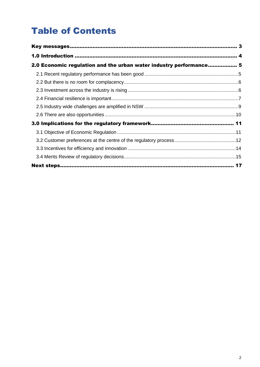# Table of Contents

| 2.0 Economic regulation and the urban water industry performance 5 |  |
|--------------------------------------------------------------------|--|
|                                                                    |  |
|                                                                    |  |
|                                                                    |  |
|                                                                    |  |
|                                                                    |  |
|                                                                    |  |
|                                                                    |  |
|                                                                    |  |
|                                                                    |  |
|                                                                    |  |
|                                                                    |  |
|                                                                    |  |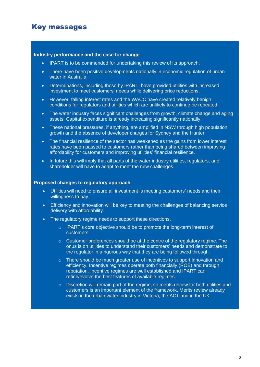## <span id="page-2-0"></span>Key messages

#### **Industry performance and the case for change**

- **I**PART is to be commended for undertaking this review of its approach.
- There have been positive developments nationally in economic regulation of urban water in Australia.
- Determinations, including those by IPART, have provided utilities with increased investment to meet customers' needs while delivering price reductions.
- However, falling interest rates and the WACC have created relatively benign conditions for regulators and utilities which are unlikely to continue be repeated.
- The water industry faces significant challenges from growth, climate change and aging assets. Capital expenditure is already increasing significantly nationally.
- These national pressures, if anything, are amplified in NSW through high population growth and the absence of developer charges for Sydney and the Hunter.
- The financial resilience of the sector has weakened as the gains from lower interest rates have been passed to customers rather than being shared between improving affordability for customers and improving utilities' financial resilience.
- In future this will imply that all parts of the water industry utilities, regulators, and shareholder will have to adapt to meet the new challenges.

#### **Proposed changes to regulatory approach**

- Utilities will need to ensure all investment is meeting customers' needs and their willingness to pay.
- Efficiency and innovation will be key to meeting the challenges of balancing service delivery with affordability.
- The regulatory regime needs to support these directions.
	- o IPART's core objective should be to promote the long-term interest of customers.
	- $\circ$  Customer preferences should be at the centre of the regulatory regime. The onus is on utilities to understand their customers' needs and demonstrate to the regulator in a rigorous way that they are being followed through.
	- o There should be much greater use of incentives to support innovation and efficiency. Incentive regimes operate both financially (ROE) and through reputation. Incentive regimes are well established and IPART can refine/evolve the best features of available regimes.
	- $\circ$  Discretion will remain part of the regime, so merits review for both utilities and customers is an important element of the framework. Merits review already exists in the urban water industry in Victoria, the ACT and in the UK.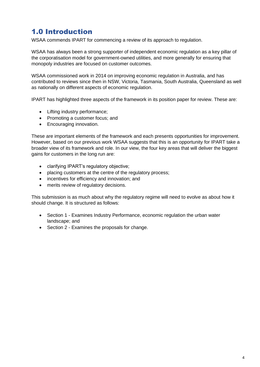## <span id="page-3-0"></span>1.0 Introduction

WSAA commends IPART for commencing a review of its approach to regulation.

WSAA has always been a strong supporter of independent economic regulation as a key pillar of the corporatisation model for government-owned utilities, and more generally for ensuring that monopoly industries are focused on customer outcomes.

WSAA commissioned work in 2014 on improving economic regulation in Australia, and has contributed to reviews since then in NSW, Victoria, Tasmania, South Australia, Queensland as well as nationally on different aspects of economic regulation.

IPART has highlighted three aspects of the framework in its position paper for review. These are:

- Lifting industry performance;
- Promoting a customer focus; and
- Encouraging innovation.

These are important elements of the framework and each presents opportunities for improvement. However, based on our previous work WSAA suggests that this is an opportunity for IPART take a broader view of its framework and role. In our view, the four key areas that will deliver the biggest gains for customers in the long run are:

- clarifying IPART's regulatory objective;
- placing customers at the centre of the regulatory process;
- incentives for efficiency and innovation; and
- merits review of regulatory decisions.

This submission is as much about why the regulatory regime will need to evolve as about how it should change. It is structured as follows:

- Section 1 Examines Industry Performance, economic regulation the urban water landscape; and
- Section 2 Examines the proposals for change.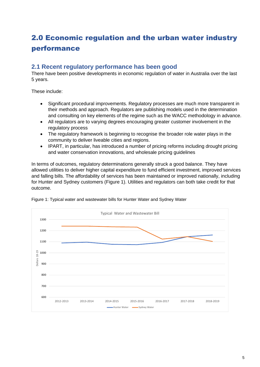## <span id="page-4-0"></span>2.0 Economic regulation and the urban water industry performance

### <span id="page-4-1"></span>**2.1 Recent regulatory performance has been good**

There have been positive developments in economic regulation of water in Australia over the last 5 years.

These include:

- Significant procedural improvements. Regulatory processes are much more transparent in their methods and approach. Regulators are publishing models used in the determination and consulting on key elements of the regime such as the WACC methodology in advance.
- All regulators are to varying degrees encouraging greater customer involvement in the regulatory process
- The regulatory framework is beginning to recognise the broader role water plays in the community to deliver liveable cities and regions.
- IPART, in particular, has introduced a number of pricing reforms including drought pricing and water conservation innovations, and wholesale pricing guidelines

In terms of outcomes, regulatory determinations generally struck a good balance. They have allowed utilities to deliver higher capital expenditure to fund efficient investment, improved services and falling bills. The affordability of services has been maintained or improved nationally, including for Hunter and Sydney customers (Figure 1). Utilities and regulators can both take credit for that outcome.



Figure 1: Typical water and wastewater bills for Hunter Water and Sydney Water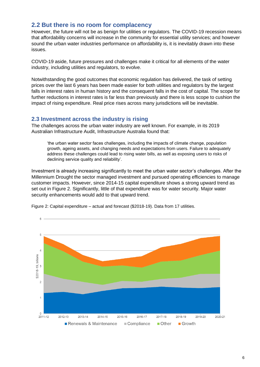### <span id="page-5-0"></span>**2.2 But there is no room for complacency**

However, the future will not be as benign for utilities or regulators. The COVID-19 recession means that affordability concerns will increase in the community for essential utility services; and however sound the urban water industries performance on affordability is, it is inevitably drawn into these issues.

COVID-19 aside, future pressures and challenges make it critical for all elements of the water industry, including utilities and regulators, to evolve.

Notwithstanding the good outcomes that economic regulation has delivered, the task of setting prices over the last 6 years has been made easier for both utilities and regulators by the largest falls in interest rates in human history and the consequent falls in the cost of capital. The scope for further reductions in interest rates is far less than previously and there is less scope to cushion the impact of rising expenditure. Real price rises across many jurisdictions will be inevitable.

#### <span id="page-5-1"></span>**2.3 Investment across the industry is rising**

The challenges across the urban water industry are well known. For example, in its 2019 Australian Infrastructure Audit, Infrastructure Australia found that:

'the urban water sector faces challenges, including the impacts of climate change, population growth, ageing assets, and changing needs and expectations from users. Failure to adequately address these challenges could lead to rising water bills, as well as exposing users to risks of declining service quality and reliability'.

Investment is already increasing significantly to meet the urban water sector's challenges. After the Millennium Drought the sector managed investment and pursued operating efficiencies to manage customer impacts. However, since 2014-15 capital expenditure shows a strong upward trend as set out in Figure 2. Significantly, little of that expenditure was for water security. Major water security enhancements would add to that upward trend.



Figure 2: Capital expenditure – actual and forecast (\$2018-19). Data from 17 utilities.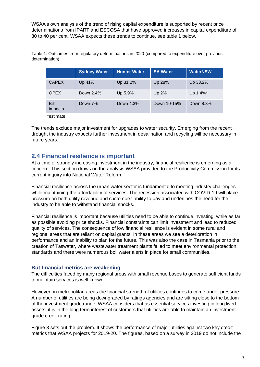WSAA's own analysis of the trend of rising capital expenditure is supported by recent price determinations from IPART and ESCOSA that have approved increases in capital expenditure of 30 to 40 per cent. WSAA expects these trends to continue, see table 1 below.

|                 | <b>Sydney Water</b> | <b>Hunter Water</b> | <b>SA Water</b> | <b>WaterNSW</b> |
|-----------------|---------------------|---------------------|-----------------|-----------------|
| <b>CAPEX</b>    | Up 41%              | Up 31.2%            | Up 28%          | Up 33.2%        |
| <b>OPEX</b>     | Down $2.4\%$        | Up 5.9%             | Up $2\%$        | Up 1.4%*        |
| Bill<br>impacts | Down 7%             | Down 4.3%           | Down 10-15%     | Down 8.3%       |

Table 1: Outcomes from regulatory determinations in 2020 (compared to expenditure over previous determination)

\*estimate

The trends exclude major investment for upgrades to water security. Emerging from the recent drought the industry expects further investment in desalination and recycling will be necessary in future years.

### <span id="page-6-0"></span>**2.4 Financial resilience is important**

At a time of strongly increasing investment in the industry, financial resilience is emerging as a concern. This section draws on the analysis WSAA provided to the Productivity Commission for its current inquiry into National Water Reform.

Financial resilience across the urban water sector is fundamental to meeting industry challenges while maintaining the affordability of services. The recession associated with COVID-19 will place pressure on both utility revenue and customers' ability to pay and underlines the need for the industry to be able to withstand financial shocks.

Financial resilience is important because utilities need to be able to continue investing, while as far as possible avoiding price shocks. Financial constraints can limit investment and lead to reduced quality of services. The consequence of low financial resilience is evident in some rural and regional areas that are reliant on capital grants. In these areas we see a deterioration in performance and an inability to plan for the future. This was also the case in Tasmania prior to the creation of Taswater, where wastewater treatment plants failed to meet environmental protection standards and there were numerous boil water alerts in place for small communities.

#### **But financial metrics are weakening**

The difficulties faced by many regional areas with small revenue bases to generate sufficient funds to maintain services is well known.

However, in metropolitan areas the financial strength of utilities continues to come under pressure. A number of utilities are being downgraded by ratings agencies and are sitting close to the bottom of the investment grade range. WSAA considers that as essential services investing in long lived assets, it is in the long term interest of customers that utilities are able to maintain an investment grade credit rating.

Figure 3 sets out the problem. It shows the performance of major utilities against two key credit metrics that WSAA projects for 2019-20. The figures, based on a survey in 2019 do not include the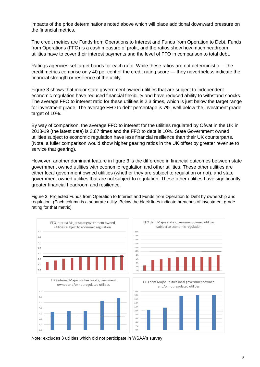impacts of the price determinations noted above which will place additional downward pressure on the financial metrics.

The credit metrics are Funds from Operations to Interest and Funds from Operation to Debt. Funds from Operations (FFO) is a cash measure of profit, and the ratios show how much headroom utilities have to cover their interest payments and the level of FFO in comparison to total debt.

Ratings agencies set target bands for each ratio. While these ratios are not deterministic — the credit metrics comprise only 40 per cent of the credit rating score — they nevertheless indicate the financial strength or resilience of the utility.

Figure 3 shows that major state government owned utilities that are subject to independent economic regulation have reduced financial flexibility and have reduced ability to withstand shocks. The average FFO to interest ratio for these utilities is 2.3 times, which is just below the target range for investment grade. The average FFO to debt percentage is 7%, well below the investment grade target of 10%.

By way of comparison, the average FFO to interest for the utilities regulated by Ofwat in the UK in 2018-19 (the latest data) is 3.87 times and the FFO to debt is 10%. State Government owned utilities subject to economic regulation have less financial resilience than their UK counterparts. (Note, a fuller comparison would show higher gearing ratios in the UK offset by greater revenue to service that gearing).

However, another dominant feature in figure 3 is the difference in financial outcomes between state government owned utilities with economic regulation and other utilities. These other utilities are either local government owned utilities (whether they are subject to regulation or not), and state government owned utilities that are not subject to regulation. These other utilities have significantly greater financial headroom and resilience.

Figure 3: Projected Funds from Operation to Interest and Funds from Operation to Debt by ownership and regulation. (Each column is a separate utility. Below the black lines indicate breaches of investment grade rating for that metric)



Note: excludes 3 utilities which did not participate in WSAA's survey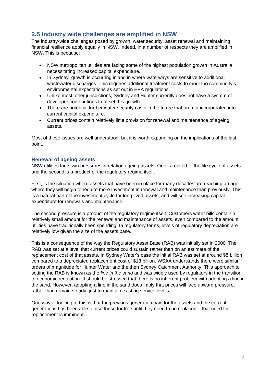## <span id="page-8-0"></span>**2.5 Industry wide challenges are amplified in NSW**

The industry-wide challenges posed by growth, water security, asset renewal and maintaining financial resilience apply equally in NSW. Indeed, in a number of respects they are amplified in NSW. This is because:

- NSW metropolitan utilities are facing some of the highest population growth in Australia necessitating increased capital expenditure.
- In Sydney, growth is occurring inland in where waterways are sensitive to additional wastewater discharges. This requires additional treatment costs to meet the community's environmental expectations as set out in EPA regulations.
- Unlike most other jurisdictions, Sydney and Hunter currently does not have a system of developer contributions to offset this growth.
- There are potential further water security costs in the future that are not incorporated into current capital expenditure.
- Current prices contain relatively little provision for renewal and maintenance of ageing assets.

Most of these issues are well understood, but it is worth expanding on the implications of the last point.

#### **Renewal of ageing assets**

NSW utilities face twin pressures in relation ageing assets. One is related to the life cycle of assets and the second is a product of the regulatory regime itself.

First, is the situation where assets that have been in place for many decades are reaching an age where they will begin to require more investment in renewal and maintenance than previously. This is a natural part of the investment cycle for long lived assets, and will see increasing capital expenditure for renewals and maintenance.

The second pressure is a product of the regulatory regime itself. Customers water bills contain a relatively small amount for the renewal and maintenance of assets, even compared to the amount utilities have traditionally been spending. In regulatory terms, levels of regulatory depreciation are relatively low given the size of the assets base.

This is a consequence of the way the Regulatory Asset Base (RAB) was initially set in 2000. The RAB was set at a level that current prices could sustain rather than on an estimate of the replacement cost of that assets. In Sydney Water's case the initial RAB was set at around \$5 billion compared to a depreciated replacement cost of \$13 billion. WSAA understands there were similar orders of magnitude for Hunter Water and the then Sydney Catchment Authority. This approach to setting the RAB is known as the *line in the sand* and was widely used by regulators in the transition to economic regulation. It should be stressed that there is no inherent problem with adopting a line in the sand. However, adopting a line in the sand does imply that prices will face upward pressure, rather than remain steady, just to maintain existing service levels.

One way of looking at this is that the previous generation paid for the assets and the current generations has been able to use those for free until they need to be replaced – that need for replacement is imminent.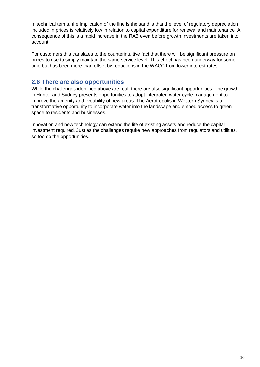In technical terms, the implication of the line is the sand is that the level of regulatory depreciation included in prices is relatively low in relation to capital expenditure for renewal and maintenance. A consequence of this is a rapid increase in the RAB even before growth investments are taken into account.

For customers this translates to the counterintuitive fact that there will be significant pressure on prices to rise to simply maintain the same service level. This effect has been underway for some time but has been more than offset by reductions in the WACC from lower interest rates.

### <span id="page-9-0"></span>**2.6 There are also opportunities**

While the challenges identified above are real, there are also significant opportunities. The growth in Hunter and Sydney presents opportunities to adopt integrated water cycle management to improve the amenity and liveability of new areas. The Aerotropolis in Western Sydney is a transformative opportunity to incorporate water into the landscape and embed access to green space to residents and businesses.

Innovation and new technology can extend the life of existing assets and reduce the capital investment required. Just as the challenges require new approaches from regulators and utilities, so too do the opportunities.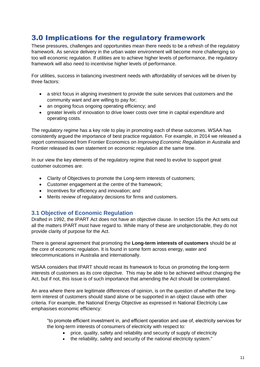## <span id="page-10-0"></span>3.0 Implications for the regulatory framework

These pressures, challenges and opportunities mean there needs to be a refresh of the regulatory framework. As service delivery in the urban water environment will become more challenging so too will economic regulation. If utilities are to achieve higher levels of performance, the regulatory framework will also need to incentivise higher levels of performance.

For utilities, success in balancing investment needs with affordability of services will be driven by three factors:

- a strict focus in aligning investment to provide the suite services that customers and the community want and are willing to pay for;
- an ongoing focus ongoing operating efficiency; and
- greater levels of innovation to drive lower costs over time in capital expenditure and operating costs.

The regulatory regime has a key role to play in promoting each of these outcomes. WSAA has consistently argued the importance of best practice regulation. For example, in 2014 we released a report commissioned from Frontier Economics on *Improving Economic Regulation in Australia* and Frontier released its own statement on economic regulation at the same time.

In our view the key elements of the regulatory regime that need to evolve to support great customer outcomes are:

- Clarity of Objectives to promote the Long-term interests of customers;
- Customer engagement at the centre of the framework;
- Incentives for efficiency and innovation; and
- Merits review of regulatory decisions for firms and customers.

#### <span id="page-10-1"></span>**3.1 Objective of Economic Regulation**

Drafted in 1992, the IPART Act does not have an objective clause. In section 15s the Act sets out all the matters IPART must have regard to. While many of these are unobjectionable, they do not provide clarity of purpose for the Act.

There is general agreement that promoting the **Long-term interests of customers** should be at the core of economic regulation. It is found in some form across energy, water and telecommunications in Australia and internationally.

WSAA considers that IPART should recast its framework to focus on promoting the long-term interests of customers as its core objective. This may be able to be achieved without changing the Act, but if not, this issue is of such importance that amending the Act should be contemplated.

An area where there are legitimate differences of opinion, is on the question of whether the longterm interest of customers should stand alone or be supported in an object clause with other criteria. For example, the National Energy Objective as expressed in National Electricity Law emphasises economic efficiency:

"to promote efficient investment in, and efficient operation and use of, electricity services for the long-term interests of consumers of electricity with respect to:

- price, quality, safety and reliability and security of supply of electricity
- the reliability, safety and security of the national electricity system."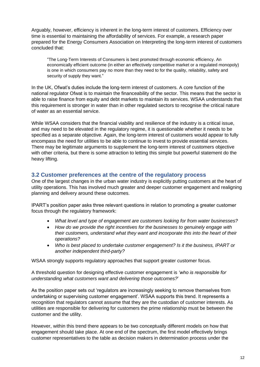Arguably, however, efficiency is inherent in the long-term interest of customers. Efficiency over time is essential to maintaining the affordability of services. For example, a research paper prepared for the Energy Consumers Association on Interpreting the long-term interest of customers concluded that:

"The Long-Term Interests of Consumers is best promoted through economic efficiency. An economically efficient outcome (in either an effectively competitive market or a regulated monopoly) is one in which consumers pay no more than they need to for the quality, reliability, safety and security of supply they want."

In the UK, Ofwat's duties include the long-term interest of customers. A core function of the national regulator Ofwat is to maintain the financeability of the sector. This means that the sector is able to raise finance from equity and debt markets to maintain its services. WSAA understands that this requirement is stronger in water than in other regulated sectors to recognise the critical nature of water as an essential service.

While WSAA considers that the financial viability and resilience of the industry is a critical issue, and may need to be elevated in the regulatory regime, it is questionable whether it needs to be specified as a separate objective. Again, the long-term interest of customers would appear to fully encompass the need for utilities to be able to continue to invest to provide essential services. There may be legitimate arguments to supplement the long-term interest of customers objective with other criteria, but there is some attraction to letting this simple but powerful statement do the heavy lifting.

#### <span id="page-11-0"></span>**3.2 Customer preferences at the centre of the regulatory process**

One of the largest changes in the urban water industry is explicitly putting customers at the heart of utility operations. This has involved much greater and deeper customer engagement and realigning planning and delivery around these outcomes.

IPART's position paper asks three relevant questions in relation to promoting a greater customer focus through the regulatory framework:

- *What level and type of engagement are customers looking for from water businesses?*
- *How do we provide the right incentives for the businesses to genuinely engage with their customers, understand what they want and incorporate this into the heart of their operations?*
- *Who is best placed to undertake customer engagement? Is it the business, IPART or another independent third-party?*

WSAA strongly supports regulatory approaches that support greater customer focus.

A threshold question for designing effective customer engagement is *'who is responsible for understanding what customers want and delivering those outcomes?*'

As the position paper sets out 'regulators are increasingly seeking to remove themselves from undertaking or supervising customer engagement'. WSAA supports this trend. It represents a recognition that regulators cannot assume that they are the custodian of customer interests. As utilities are responsible for delivering for customers the prime relationship must be between the customer and the utility.

However, within this trend there appears to be two conceptually different models on how that engagement should take place. At one end of the spectrum, the first model effectively brings customer representatives to the table as decision makers in determination process under the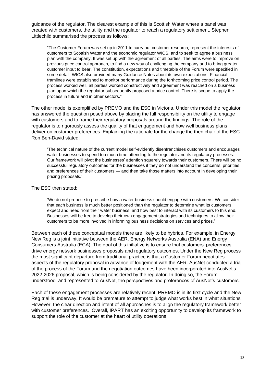guidance of the regulator. The clearest example of this is Scottish Water where a panel was created with customers, the utility and the regulator to reach a regulatory settlement. Stephen Littlechild summarised the process as follows:

"The Customer Forum was set up in 2011 to carry out customer research, represent the interests of customers to Scottish Water and the economic regulator WICS, and to seek to agree a business plan with the company. It was set up with the agreement of all parties. The aims were to improve on previous price control approach, to find a new way of challenging the company and to bring greater customer input to bear. The constitution, expectations and timetable of the Forum were specified in some detail. WICS also provided many Guidance Notes about its own expectations. Financial tramlines were established to monitor performance during the forthcoming price control period. The process worked well, all parties worked constructively and agreement was reached on a business plan upon which the regulator subsequently proposed a price control. There is scope to apply the process in future and in other sectors."

The other model is exemplified by PREMO and the ESC in Victoria. Under this model the regulator has answered the question posed above by placing the full responsibility on the utility to engage with customers and to frame their regulatory proposals around the findings. The role of the regulator is to rigorously assess the quality of that engagement and how well business plans deliver on customer preferences. Explaining the rationale for the change the then chair of the ESC Ron Ben-David stated:

'The technical nature of the current model self-evidently disenfranchises customers and encourages water businesses to spend too much time attending to the regulator and its regulatory processes. Our framework will pivot the businesses' attention squarely towards their customers. There will be no successful regulatory outcomes for the businesses if they do not understand the concerns, priorities and preferences of their customers — and then take those matters into account in developing their pricing proposals.'

#### The ESC then stated:

'We do not propose to prescribe how a water business should engage with customers. We consider that each business is much better positioned than the regulator to determine what its customers expect and need from their water business, and how best to interact with its customers to this end. Businesses will be free to develop their own engagement strategies and techniques to allow their customers to be more involved in informing business decisions on services and prices.'

Between each of these conceptual models there are likely to be hybrids. For example, in Energy, New Reg is a joint initiative between the AER, Energy Networks Australia (ENA) and Energy Consumers Australia (ECA). The goal of this initiative is to ensure that customers' preferences drive energy network businesses proposals and regulatory outcomes. Under the New Reg process the most significant departure from traditional practice is that a Customer Forum negotiates aspects of the regulatory proposal in advance of lodgement with the AER. AusNet conducted a trial of the process of the Forum and the negotiation outcomes have been incorporated into AusNet's 2022-2026 proposal, which is being considered by the regulator. In doing so, the Forum understood, and represented to AusNet, the perspectives and preferences of AusNet's customers.

Each of these engagement processes are relatively recent. PREMO is in its first cycle and the New Reg trial is underway. It would be premature to attempt to judge what works best in what situations. However, the clear direction and intent of all approaches is to align the regulatory framework better with customer preferences. Overall, IPART has an exciting opportunity to develop its framework to support the role of the customer at the heart of utility operations.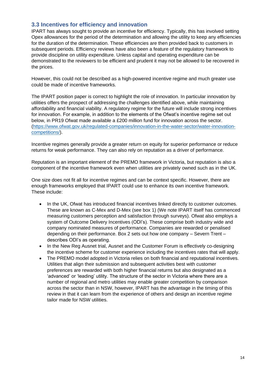### <span id="page-13-0"></span>**3.3 Incentives for efficiency and innovation**

IPART has always sought to provide an incentive for efficiency. Typically, this has involved setting Opex allowances for the period of the determination and allowing the utility to keep any efficiencies for the duration of the determination. These efficiencies are then provided back to customers in subsequent periods. Efficiency reviews have also been a feature of the regulatory framework to provide discipline on utility expenditure. Unless capital and operating expenditure can be demonstrated to the reviewers to be efficient and prudent it may not be allowed to be recovered in the prices.

However, this could not be described as a high-powered incentive regime and much greater use could be made of incentive frameworks.

The IPART position paper is correct to highlight the role of innovation. In particular innovation by utilities offers the prospect of addressing the challenges identified above, while maintaining affordability and financial viability. A regulatory regime for the future will include strong incentives for innovation. For example, in addition to the elements of the Ofwat's incentive regime set out below, in PR19 Ofwat made available a £200 million fund for innovation across the sector. [\(https://www.ofwat.gov.uk/regulated-companies/innovation-in-the-water-sector/water-innovation](https://www.ofwat.gov.uk/regulated-companies/innovation-in-the-water-sector/water-innovation-competitions/)[competitions/\)](https://www.ofwat.gov.uk/regulated-companies/innovation-in-the-water-sector/water-innovation-competitions/).

Incentive regimes generally provide a greater return on equity for superior performance or reduce returns for weak performance. They can also rely on reputation as a driver of performance.

Reputation is an important element of the PREMO framework in Victoria, but reputation is also a component of the incentive framework even when utilities are privately owned such as in the UK.

One size does not fit all for incentive regimes and can be context specific. However, there are enough frameworks employed that IPART could use to enhance its own incentive framework. These include:

- In the UK, Ofwat has introduced financial incentives linked directly to customer outcomes. These are known as C-Mex and D-Mex (see box 1) (We note IPART itself has commenced measuring customers perception and satisfaction through surveys). Ofwat also employs a system of Outcome Delivery Incentives (ODI's). These comprise both industry wide and company nominated measures of performance. Companies are rewarded or penalised depending on their performance. Box 2 sets out how one company – Severn Trent – describes ODI's as operating.
- In the New Reg Ausnet trial, Ausnet and the Customer Forum is effectively co-designing the incentive scheme for customer experience including the incentives rates that will apply.
- The PREMO model adopted in Victoria relies on both financial and reputational incentives. Utilities that align their submission and subsequent activities best with customer preferences are rewarded with both higher financial returns but also designated as a 'advanced' or 'leading' utility. The structure of the sector in Victoria where there are a number of regional and metro utilities may enable greater competition by comparison across the sector than in NSW, however, IPART has the advantage in the timing of this review in that it can learn from the experience of others and design an incentive regime tailor made for NSW utilities.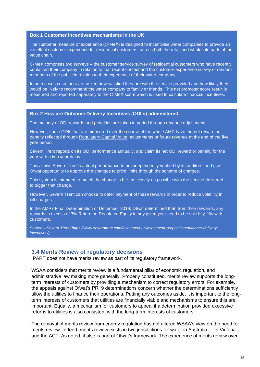#### **Box 1 Customer incentives mechanisms in the UK**

The customer measure of experience (C-MeX) is designed to incentivise water companies to provide an excellent customer experience for residential customers, across both the retail and wholesale parts of the value chain.

C-MeX comprises two surveys – the customer service survey of residential customers who have recently contacted their company in relation to that recent contact and the customer experience survey of random members of the public in relation to their experience of their water company.

In both cases customers are asked how satisfied they are with the service provided and how likely they would be likely to recommend the water company to family or friends. This net promoter score result is measured and reported separately to the C-MeX score which is used to calculate financial incentives.

#### **Box 2 How are Outcome Delivery Incentives (ODI's) administered**

The majority of ODI rewards and penalties are taken in period through revenue adjustments.

However, some ODIs that are measured over the course of the whole AMP have the net reward or penalty reflected through [Regulatory Capital Value](https://www.severntrent.com/investors/our-investment-proposition/regulatory-capital-value/) adjustments or future revenue at the end of the five year period.

Severn Trent reports on its ODI performance annually, and claim its net ODI reward or penalty for the year with a two year delay.

This allows Severn Trent's actual performance to be independently verified by its auditors, and give Ofwat opportunity to approve the changes to price limits through the scheme of charges.

This system is intended to match the change in bills as closely as possible with the service delivered to trigger that change.

However, Severn Trent can choose to defer payment of these rewards in order to reduce volatility in bill charges.

In the AMP7 Final Determination of December 2019, Ofwat determined that, from then onwards, any rewards in excess of 3% Return on Regulated Equity in any given year need to be split fifty-fifty with customers.

*Source – Severn Trent (https://www.severntrent.com/investors/our-investment-proposition/outcome-deliveryincentives/)*

#### <span id="page-14-0"></span>**3.4 Merits Review of regulatory decisions**

IPART does not have merits review as part of its regulatory framework.

WSAA considers that merits review is a fundamental pillar of economic regulation, and administrative law making more generally. Properly constituted, merits review supports the longterm interests of customers by providing a mechanism to correct regulatory errors. For example, the appeals against Ofwat's PR19 determinations concern whether the determinations sufficiently allow the utilities to finance their operations. Putting any outcomes aside, it is important to the longterm interests of customers that utilities are financially viable and mechanisms to ensure this are important. Equally, a mechanism for customers to appeal if a determination provided excessive returns to utilities is also consistent with the long-term interests of customers.

The removal of merits review from energy regulation has not altered WSAA's view on the need for merits review. Indeed, merits review exists in two jurisdictions for water in Australia — in Victoria and the ACT. As noted, it also is part of Ofwat's framework. The experience of merits review over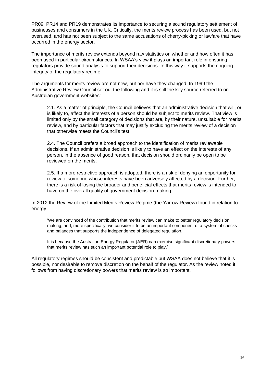PR09, PR14 and PR19 demonstrates its importance to securing a sound regulatory settlement of businesses and consumers in the UK. Critically, the merits review process has been used, but not overused, and has not been subject to the same accusations of cherry-picking or lawfare that have occurred in the energy sector.

The importance of merits review extends beyond raw statistics on whether and how often it has been used in particular circumstances. In WSAA's view it plays an important role in ensuring regulators provide sound analysis to support their decisions. In this way it supports the ongoing integrity of the regulatory regime.

The arguments for merits review are not new, but nor have they changed. In 1999 the Administrative Review Council set out the following and it is still the key source referred to on Australian government websites:

2.1. As a matter of principle, the Council believes that an administrative decision that will, or is likely to, affect the interests of a person should be subject to merits review. That view is limited only by the small category of decisions that are, by their nature, unsuitable for merits review, and by particular factors that may justify excluding the merits review of a decision that otherwise meets the Council's test.

2.4. The Council prefers a broad approach to the identification of merits reviewable decisions. If an administrative decision is likely to have an effect on the interests of any person, in the absence of good reason, that decision should ordinarily be open to be reviewed on the merits.

2.5. If a more restrictive approach is adopted, there is a risk of denying an opportunity for review to someone whose interests have been adversely affected by a decision. Further, there is a risk of losing the broader and beneficial effects that merits review is intended to have on the overall quality of government decision-making.

In 2012 the Review of the Limited Merits Review Regime (the Yarrow Review) found in relation to energy.

'We are convinced of the contribution that merits review can make to better regulatory decision making, and, more specifically, we consider it to be an important component of a system of checks and balances that supports the independence of delegated regulation.

It is because the Australian Energy Regulator (AER) can exercise significant discretionary powers that merits review has such an important potential role to play.'

All regulatory regimes should be consistent and predictable but WSAA does not believe that it is possible, nor desirable to remove discretion on the behalf of the regulator. As the review noted it follows from having discretionary powers that merits review is so important.